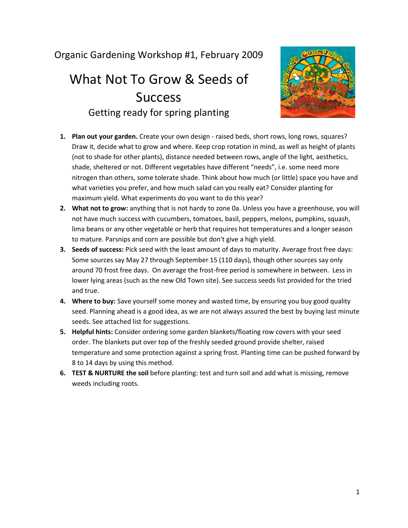## Organic Gardening Workshop #1, February 2009

## What Not To Grow & Seeds of **Success** Getting ready for spring planting



- **1. Plan out your garden.** Create your own design raised beds, short rows, long rows, squares? Draw it, decide what to grow and where. Keep crop rotation in mind, as well as height of plants (not to shade for other plants), distance needed between rows, angle of the light, aesthetics, shade, sheltered or not. Different vegetables have different "needs", i.e. some need more nitrogen than others, some tolerate shade. Think about how much (or little) space you have and what varieties you prefer, and how much salad can you really eat? Consider planting for maximum yield. What experiments do you want to do this year?
- **2. What not to grow:** anything that is not hardy to zone 0a. Unless you have a greenhouse, you will not have much success with cucumbers, tomatoes, basil, peppers, melons, pumpkins, squash, lima beans or any other vegetable or herb that requires hot temperatures and a longer season to mature. Parsnips and corn are possible but don't give a high yield.
- **3. Seeds of success:** Pick seed with the least amount of days to maturity. Average frost free days: Some sources say May 27 through September 15 (110 days), though other sources say only around 70 frost free days. On average the frost-free period is somewhere in between. Less in lower lying areas (such as the new Old Town site). See success seeds list provided for the tried and true.
- **4. Where to buy:** Save yourself some money and wasted time, by ensuring you buy good quality seed. Planning ahead is a good idea, as we are not always assured the best by buying last minute seeds. See attached list for suggestions.
- **5. Helpful hints:** Consider ordering some garden blankets/floating row covers with your seed order. The blankets put over top of the freshly seeded ground provide shelter, raised temperature and some protection against a spring frost. Planting time can be pushed forward by 8 to 14 days by using this method.
- **6. TEST & NURTURE the soil** before planting: test and turn soil and add what is missing, remove weeds including roots.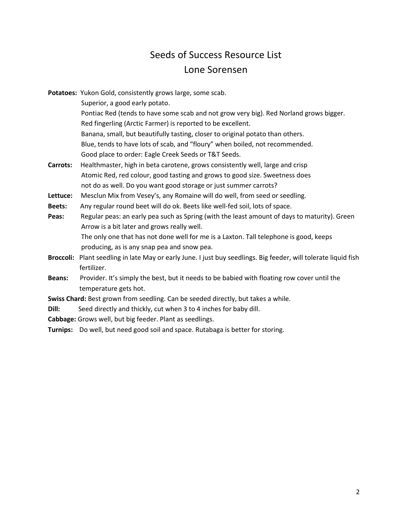## Seeds of Success Resource List Lone Sorensen

|                                                                                   | Potatoes: Yukon Gold, consistently grows large, some scab.                                                      |
|-----------------------------------------------------------------------------------|-----------------------------------------------------------------------------------------------------------------|
|                                                                                   | Superior, a good early potato.                                                                                  |
|                                                                                   | Pontiac Red (tends to have some scab and not grow very big). Red Norland grows bigger.                          |
|                                                                                   | Red fingerling (Arctic Farmer) is reported to be excellent.                                                     |
|                                                                                   | Banana, small, but beautifully tasting, closer to original potato than others.                                  |
|                                                                                   | Blue, tends to have lots of scab, and "floury" when boiled, not recommended.                                    |
|                                                                                   | Good place to order: Eagle Creek Seeds or T&T Seeds.                                                            |
| Carrots:                                                                          | Healthmaster, high in beta carotene, grows consistently well, large and crisp                                   |
|                                                                                   | Atomic Red, red colour, good tasting and grows to good size. Sweetness does                                     |
|                                                                                   | not do as well. Do you want good storage or just summer carrots?                                                |
| Lettuce:                                                                          | Mesclun Mix from Vesey's, any Romaine will do well, from seed or seedling.                                      |
| <b>Beets:</b>                                                                     | Any regular round beet will do ok. Beets like well-fed soil, lots of space.                                     |
| Peas:                                                                             | Regular peas: an early pea such as Spring (with the least amount of days to maturity). Green                    |
|                                                                                   | Arrow is a bit later and grows really well.                                                                     |
|                                                                                   | The only one that has not done well for me is a Laxton. Tall telephone is good, keeps                           |
|                                                                                   | producing, as is any snap pea and snow pea.                                                                     |
|                                                                                   | Broccoli: Plant seedling in late May or early June. I just buy seedlings. Big feeder, will tolerate liquid fish |
|                                                                                   | fertilizer.                                                                                                     |
| <b>Beans:</b>                                                                     | Provider. It's simply the best, but it needs to be babied with floating row cover until the                     |
|                                                                                   | temperature gets hot.                                                                                           |
| Swiss Chard: Best grown from seedling. Can be seeded directly, but takes a while. |                                                                                                                 |
| Dill:                                                                             | Seed directly and thickly, cut when 3 to 4 inches for baby dill.                                                |
|                                                                                   | Cabbage: Grows well, but big feeder. Plant as seedlings.                                                        |
|                                                                                   | Turnips: Do well, but need good soil and space. Rutabaga is better for storing.                                 |
|                                                                                   |                                                                                                                 |